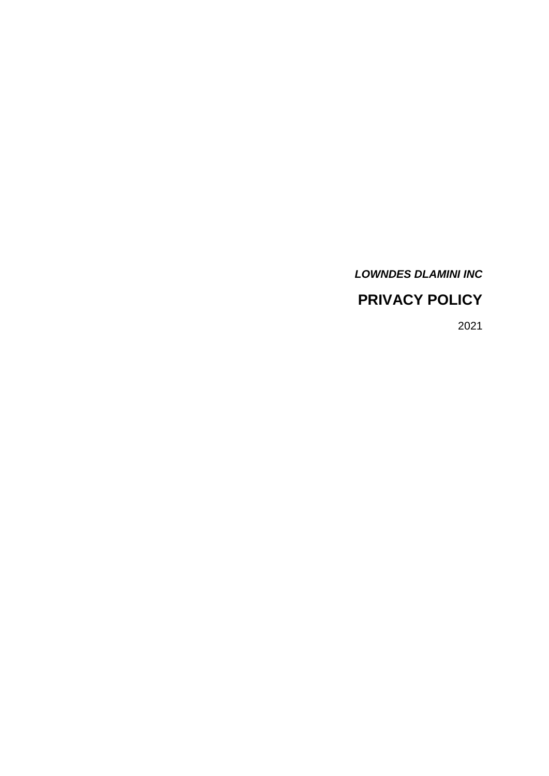# *LOWNDES DLAMINI INC*

# **PRIVACY POLICY**

2021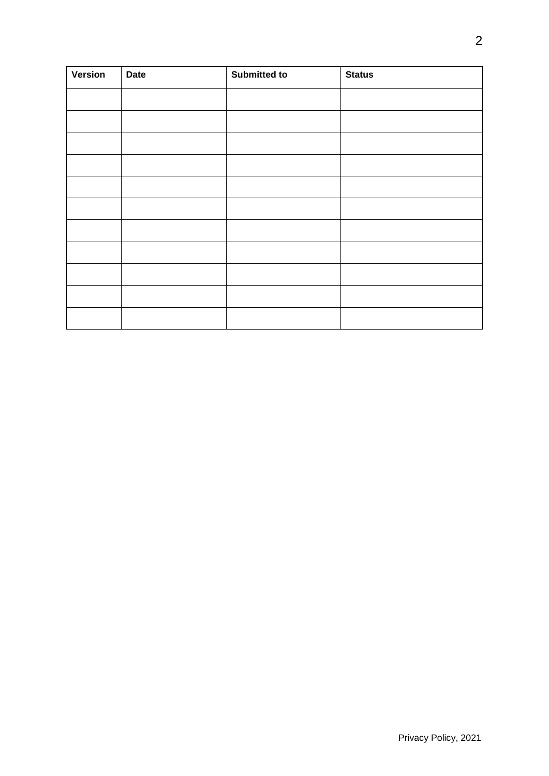| <b>Version</b> | <b>Date</b> | <b>Submitted to</b> | <b>Status</b> |
|----------------|-------------|---------------------|---------------|
|                |             |                     |               |
|                |             |                     |               |
|                |             |                     |               |
|                |             |                     |               |
|                |             |                     |               |
|                |             |                     |               |
|                |             |                     |               |
|                |             |                     |               |
|                |             |                     |               |
|                |             |                     |               |
|                |             |                     |               |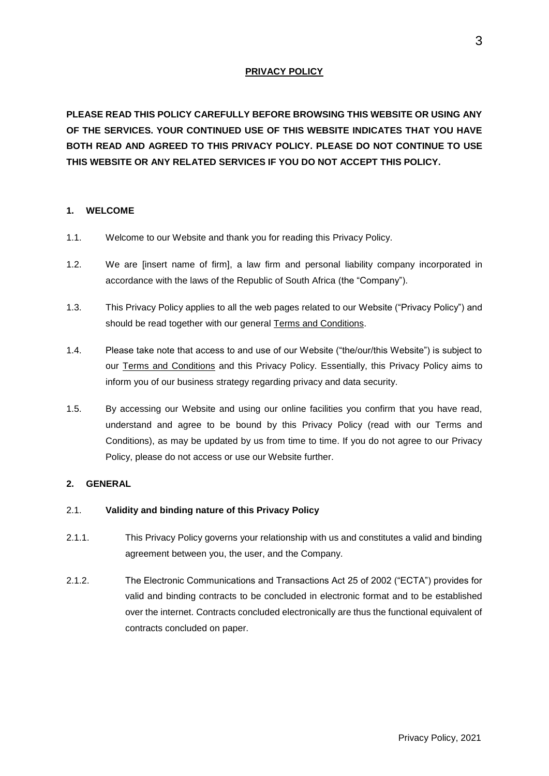## **PRIVACY POLICY**

**PLEASE READ THIS POLICY CAREFULLY BEFORE BROWSING THIS WEBSITE OR USING ANY OF THE SERVICES. YOUR CONTINUED USE OF THIS WEBSITE INDICATES THAT YOU HAVE BOTH READ AND AGREED TO THIS PRIVACY POLICY. PLEASE DO NOT CONTINUE TO USE THIS WEBSITE OR ANY RELATED SERVICES IF YOU DO NOT ACCEPT THIS POLICY.**

#### **1. WELCOME**

- 1.1. Welcome to our Website and thank you for reading this Privacy Policy.
- 1.2. We are [insert name of firm], a law firm and personal liability company incorporated in accordance with the laws of the Republic of South Africa (the "Company").
- 1.3. This Privacy Policy applies to all the web pages related to our Website ("Privacy Policy") and should be read together with our general Terms and Conditions.
- 1.4. Please take note that access to and use of our Website ("the/our/this Website") is subject to our Terms and Conditions and this Privacy Policy. Essentially, this Privacy Policy aims to inform you of our business strategy regarding privacy and data security.
- 1.5. By accessing our Website and using our online facilities you confirm that you have read, understand and agree to be bound by this Privacy Policy (read with our Terms and Conditions), as may be updated by us from time to time. If you do not agree to our Privacy Policy, please do not access or use our Website further.

#### **2. GENERAL**

#### 2.1. **Validity and binding nature of this Privacy Policy**

- 2.1.1. This Privacy Policy governs your relationship with us and constitutes a valid and binding agreement between you, the user, and the Company.
- 2.1.2. The Electronic Communications and Transactions Act 25 of 2002 ("ECTA") provides for valid and binding contracts to be concluded in electronic format and to be established over the internet. Contracts concluded electronically are thus the functional equivalent of contracts concluded on paper.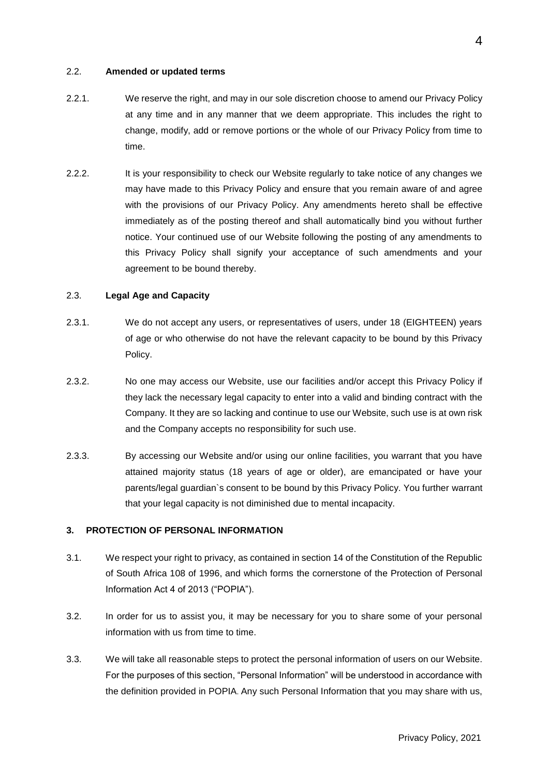#### 2.2. **Amended or updated terms**

- 2.2.1. We reserve the right, and may in our sole discretion choose to amend our Privacy Policy at any time and in any manner that we deem appropriate. This includes the right to change, modify, add or remove portions or the whole of our Privacy Policy from time to time.
- 2.2.2. It is your responsibility to check our Website regularly to take notice of any changes we may have made to this Privacy Policy and ensure that you remain aware of and agree with the provisions of our Privacy Policy. Any amendments hereto shall be effective immediately as of the posting thereof and shall automatically bind you without further notice. Your continued use of our Website following the posting of any amendments to this Privacy Policy shall signify your acceptance of such amendments and your agreement to be bound thereby.

#### 2.3. **Legal Age and Capacity**

- 2.3.1. We do not accept any users, or representatives of users, under 18 (EIGHTEEN) years of age or who otherwise do not have the relevant capacity to be bound by this Privacy Policy.
- 2.3.2. No one may access our Website, use our facilities and/or accept this Privacy Policy if they lack the necessary legal capacity to enter into a valid and binding contract with the Company. It they are so lacking and continue to use our Website, such use is at own risk and the Company accepts no responsibility for such use.
- 2.3.3. By accessing our Website and/or using our online facilities, you warrant that you have attained majority status (18 years of age or older), are emancipated or have your parents/legal guardian`s consent to be bound by this Privacy Policy. You further warrant that your legal capacity is not diminished due to mental incapacity.

#### **3. PROTECTION OF PERSONAL INFORMATION**

- 3.1. We respect your right to privacy, as contained in section 14 of the Constitution of the Republic of South Africa 108 of 1996, and which forms the cornerstone of the Protection of Personal Information Act 4 of 2013 ("POPIA").
- 3.2. In order for us to assist you, it may be necessary for you to share some of your personal information with us from time to time.
- 3.3. We will take all reasonable steps to protect the personal information of users on our Website. For the purposes of this section, "Personal Information" will be understood in accordance with the definition provided in POPIA. Any such Personal Information that you may share with us,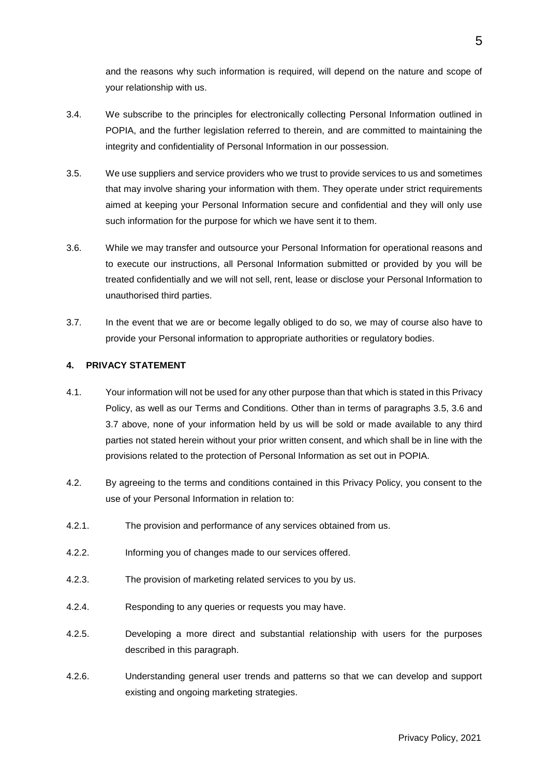and the reasons why such information is required, will depend on the nature and scope of your relationship with us.

- 3.4. We subscribe to the principles for electronically collecting Personal Information outlined in POPIA, and the further legislation referred to therein, and are committed to maintaining the integrity and confidentiality of Personal Information in our possession.
- 3.5. We use suppliers and service providers who we trust to provide services to us and sometimes that may involve sharing your information with them. They operate under strict requirements aimed at keeping your Personal Information secure and confidential and they will only use such information for the purpose for which we have sent it to them.
- 3.6. While we may transfer and outsource your Personal Information for operational reasons and to execute our instructions, all Personal Information submitted or provided by you will be treated confidentially and we will not sell, rent, lease or disclose your Personal Information to unauthorised third parties.
- 3.7. In the event that we are or become legally obliged to do so, we may of course also have to provide your Personal information to appropriate authorities or regulatory bodies.

#### **4. PRIVACY STATEMENT**

- 4.1. Your information will not be used for any other purpose than that which is stated in this Privacy Policy, as well as our Terms and Conditions. Other than in terms of paragraphs 3.5, 3.6 and 3.7 above, none of your information held by us will be sold or made available to any third parties not stated herein without your prior written consent, and which shall be in line with the provisions related to the protection of Personal Information as set out in POPIA.
- 4.2. By agreeing to the terms and conditions contained in this Privacy Policy, you consent to the use of your Personal Information in relation to:
- 4.2.1. The provision and performance of any services obtained from us.
- 4.2.2. Informing you of changes made to our services offered.
- 4.2.3. The provision of marketing related services to you by us.
- 4.2.4. Responding to any queries or requests you may have.
- 4.2.5. Developing a more direct and substantial relationship with users for the purposes described in this paragraph.
- 4.2.6. Understanding general user trends and patterns so that we can develop and support existing and ongoing marketing strategies.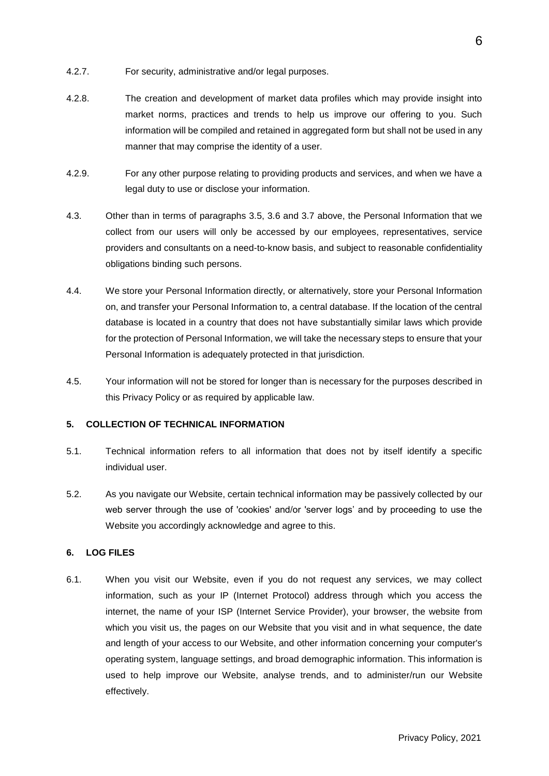- 4.2.7. For security, administrative and/or legal purposes.
- 4.2.8. The creation and development of market data profiles which may provide insight into market norms, practices and trends to help us improve our offering to you. Such information will be compiled and retained in aggregated form but shall not be used in any manner that may comprise the identity of a user.
- 4.2.9. For any other purpose relating to providing products and services, and when we have a legal duty to use or disclose your information.
- 4.3. Other than in terms of paragraphs 3.5, 3.6 and 3.7 above, the Personal Information that we collect from our users will only be accessed by our employees, representatives, service providers and consultants on a need-to-know basis, and subject to reasonable confidentiality obligations binding such persons.
- 4.4. We store your Personal Information directly, or alternatively, store your Personal Information on, and transfer your Personal Information to, a central database. If the location of the central database is located in a country that does not have substantially similar laws which provide for the protection of Personal Information, we will take the necessary steps to ensure that your Personal Information is adequately protected in that jurisdiction.
- 4.5. Your information will not be stored for longer than is necessary for the purposes described in this Privacy Policy or as required by applicable law.

#### **5. COLLECTION OF TECHNICAL INFORMATION**

- 5.1. Technical information refers to all information that does not by itself identify a specific individual user.
- 5.2. As you navigate our Website, certain technical information may be passively collected by our web server through the use of 'cookies' and/or 'server logs' and by proceeding to use the Website you accordingly acknowledge and agree to this.

#### **6. LOG FILES**

6.1. When you visit our Website, even if you do not request any services, we may collect information, such as your IP (Internet Protocol) address through which you access the internet, the name of your ISP (Internet Service Provider), your browser, the website from which you visit us, the pages on our Website that you visit and in what sequence, the date and length of your access to our Website, and other information concerning your computer's operating system, language settings, and broad demographic information. This information is used to help improve our Website, analyse trends, and to administer/run our Website effectively.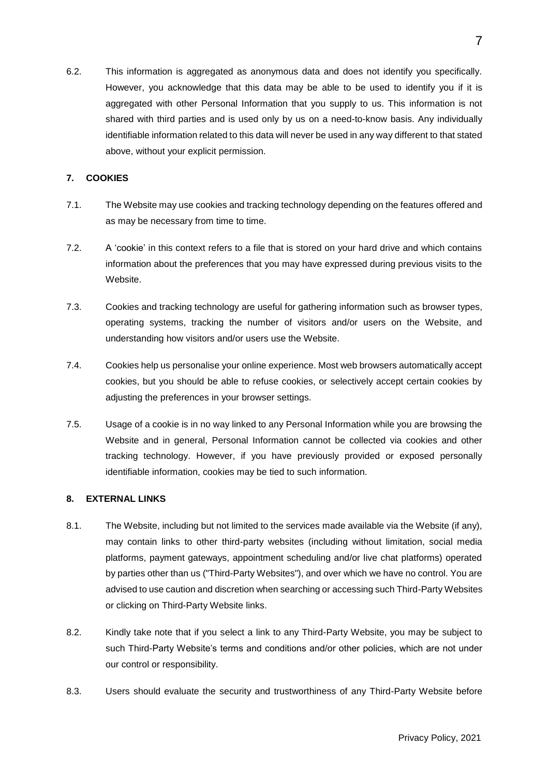6.2. This information is aggregated as anonymous data and does not identify you specifically. However, you acknowledge that this data may be able to be used to identify you if it is aggregated with other Personal Information that you supply to us. This information is not shared with third parties and is used only by us on a need-to-know basis. Any individually identifiable information related to this data will never be used in any way different to that stated above, without your explicit permission.

## **7. COOKIES**

- 7.1. The Website may use cookies and tracking technology depending on the features offered and as may be necessary from time to time.
- 7.2. A 'cookie' in this context refers to a file that is stored on your hard drive and which contains information about the preferences that you may have expressed during previous visits to the Website.
- 7.3. Cookies and tracking technology are useful for gathering information such as browser types, operating systems, tracking the number of visitors and/or users on the Website, and understanding how visitors and/or users use the Website.
- 7.4. Cookies help us personalise your online experience. Most web browsers automatically accept cookies, but you should be able to refuse cookies, or selectively accept certain cookies by adjusting the preferences in your browser settings.
- 7.5. Usage of a cookie is in no way linked to any Personal Information while you are browsing the Website and in general, Personal Information cannot be collected via cookies and other tracking technology. However, if you have previously provided or exposed personally identifiable information, cookies may be tied to such information.

#### **8. EXTERNAL LINKS**

- 8.1. The Website, including but not limited to the services made available via the Website (if any), may contain links to other third-party websites (including without limitation, social media platforms, payment gateways, appointment scheduling and/or live chat platforms) operated by parties other than us ("Third-Party Websites"), and over which we have no control. You are advised to use caution and discretion when searching or accessing such Third-Party Websites or clicking on Third-Party Website links.
- 8.2. Kindly take note that if you select a link to any Third-Party Website, you may be subject to such Third-Party Website's terms and conditions and/or other policies, which are not under our control or responsibility.
- 8.3. Users should evaluate the security and trustworthiness of any Third-Party Website before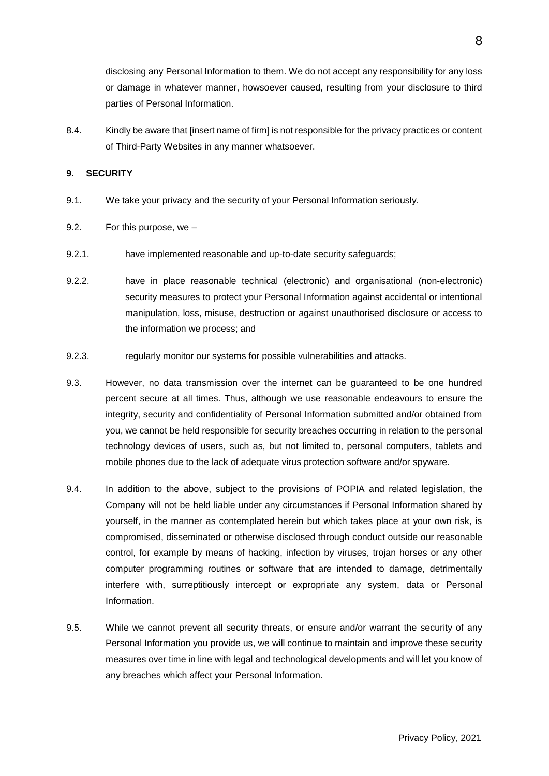disclosing any Personal Information to them. We do not accept any responsibility for any loss or damage in whatever manner, howsoever caused, resulting from your disclosure to third parties of Personal Information.

8.4. Kindly be aware that [insert name of firm] is not responsible for the privacy practices or content of Third-Party Websites in any manner whatsoever.

#### **9. SECURITY**

- 9.1. We take your privacy and the security of your Personal Information seriously.
- 9.2. For this purpose, we –
- 9.2.1. have implemented reasonable and up-to-date security safeguards;
- 9.2.2. have in place reasonable technical (electronic) and organisational (non-electronic) security measures to protect your Personal Information against accidental or intentional manipulation, loss, misuse, destruction or against unauthorised disclosure or access to the information we process; and
- 9.2.3. regularly monitor our systems for possible vulnerabilities and attacks.
- 9.3. However, no data transmission over the internet can be guaranteed to be one hundred percent secure at all times. Thus, although we use reasonable endeavours to ensure the integrity, security and confidentiality of Personal Information submitted and/or obtained from you, we cannot be held responsible for security breaches occurring in relation to the personal technology devices of users, such as, but not limited to, personal computers, tablets and mobile phones due to the lack of adequate virus protection software and/or spyware.
- 9.4. In addition to the above, subject to the provisions of POPIA and related legislation, the Company will not be held liable under any circumstances if Personal Information shared by yourself, in the manner as contemplated herein but which takes place at your own risk, is compromised, disseminated or otherwise disclosed through conduct outside our reasonable control, for example by means of hacking, infection by viruses, trojan horses or any other computer programming routines or software that are intended to damage, detrimentally interfere with, surreptitiously intercept or expropriate any system, data or Personal Information.
- 9.5. While we cannot prevent all security threats, or ensure and/or warrant the security of any Personal Information you provide us, we will continue to maintain and improve these security measures over time in line with legal and technological developments and will let you know of any breaches which affect your Personal Information.